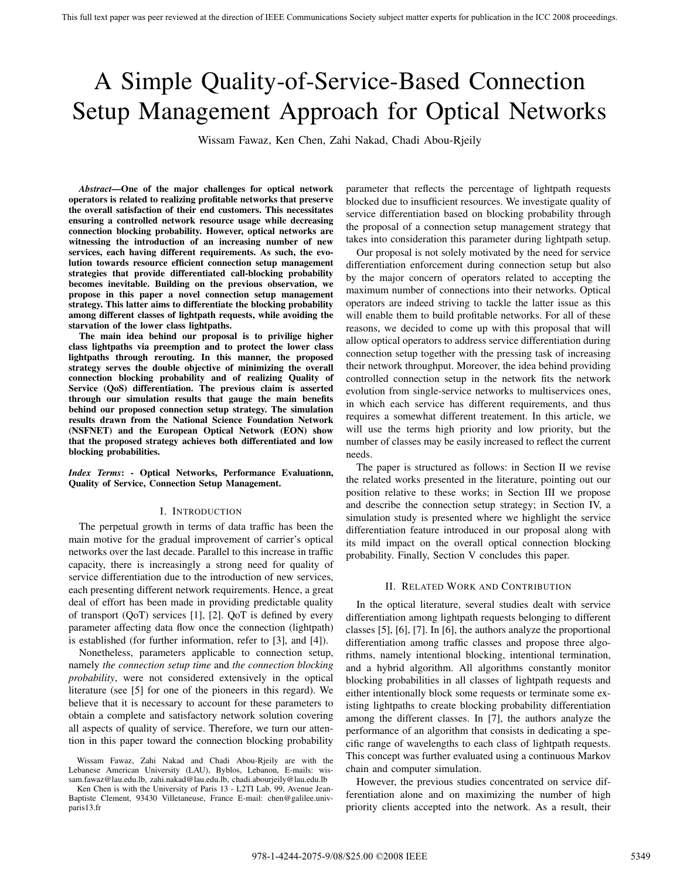# A Simple Quality-of-Service-Based Connection Setup Management Approach for Optical Networks

Wissam Fawaz, Ken Chen, Zahi Nakad, Chadi Abou-Rjeily

*Abstract*—One of the major challenges for optical network operators is related to realizing profitable networks that preserve the overall satisfaction of their end customers. This necessitates ensuring a controlled network resource usage while decreasing connection blocking probability. However, optical networks are witnessing the introduction of an increasing number of new services, each having different requirements. As such, the evolution towards resource efficient connection setup management strategies that provide differentiated call-blocking probability becomes inevitable. Building on the previous observation, we propose in this paper a novel connection setup management strategy. This latter aims to differentiate the blocking probability among different classes of lightpath requests, while avoiding the starvation of the lower class lightpaths.

The main idea behind our proposal is to privilige higher class lightpaths via preemption and to protect the lower class lightpaths through rerouting. In this manner, the proposed strategy serves the double objective of minimizing the overall connection blocking probability and of realizing Quality of Service (QoS) differentiation. The previous claim is asserted through our simulation results that gauge the main benefits behind our proposed connection setup strategy. The simulation results drawn from the National Science Foundation Network (NSFNET) and the European Optical Network (EON) show that the proposed strategy achieves both differentiated and low blocking probabilities.

*Index Terms*: - Optical Networks, Performance Evaluationn, Quality of Service, Connection Setup Management.

#### I. INTRODUCTION

The perpetual growth in terms of data traffic has been the main motive for the gradual improvement of carrier's optical networks over the last decade. Parallel to this increase in traffic capacity, there is increasingly a strong need for quality of service differentiation due to the introduction of new services, each presenting different network requirements. Hence, a great deal of effort has been made in providing predictable quality of transport (QoT) services [1], [2]. QoT is defined by every parameter affecting data flow once the connection (lightpath) is established (for further information, refer to [3], and [4]).

Nonetheless, parameters applicable to connection setup, namely *the connection setup time* and *the connection blocking probability*, were not considered extensively in the optical literature (see [5] for one of the pioneers in this regard). We believe that it is necessary to account for these parameters to obtain a complete and satisfactory network solution covering all aspects of quality of service. Therefore, we turn our attention in this paper toward the connection blocking probability

parameter that reflects the percentage of lightpath requests blocked due to insufficient resources. We investigate quality of service differentiation based on blocking probability through the proposal of a connection setup management strategy that takes into consideration this parameter during lightpath setup.

Our proposal is not solely motivated by the need for service differentiation enforcement during connection setup but also by the major concern of operators related to accepting the maximum number of connections into their networks. Optical operators are indeed striving to tackle the latter issue as this will enable them to build profitable networks. For all of these reasons, we decided to come up with this proposal that will allow optical operators to address service differentiation during connection setup together with the pressing task of increasing their network throughput. Moreover, the idea behind providing controlled connection setup in the network fits the network evolution from single-service networks to multiservices ones, in which each service has different requirements, and thus requires a somewhat different treatement. In this article, we will use the terms high priority and low priority, but the number of classes may be easily increased to reflect the current needs.

The paper is structured as follows: in Section II we revise the related works presented in the literature, pointing out our position relative to these works; in Section III we propose and describe the connection setup strategy; in Section IV, a simulation study is presented where we highlight the service differentiation feature introduced in our proposal along with its mild impact on the overall optical connection blocking probability. Finally, Section V concludes this paper.

# II. RELATED WORK AND CONTRIBUTION

In the optical literature, several studies dealt with service differentiation among lightpath requests belonging to different classes [5], [6], [7]. In [6], the authors analyze the proportional differentiation among traffic classes and propose three algorithms, namely intentional blocking, intentional termination, and a hybrid algorithm. All algorithms constantly monitor blocking probabilities in all classes of lightpath requests and either intentionally block some requests or terminate some existing lightpaths to create blocking probability differentiation among the different classes. In [7], the authors analyze the performance of an algorithm that consists in dedicating a specific range of wavelengths to each class of lightpath requests. This concept was further evaluated using a continuous Markov chain and computer simulation.

However, the previous studies concentrated on service differentiation alone and on maximizing the number of high priority clients accepted into the network. As a result, their

Wissam Fawaz, Zahi Nakad and Chadi Abou-Rjeily are with the Lebanese American University (LAU), Byblos, Lebanon, E-mails: wissam.fawaz@lau.edu.lb, zahi.nakad@lau.edu.lb, chadi.abourjeily@lau.edu.lb Ken Chen is with the University of Paris 13 - L2TI Lab, 99, Avenue Jean-Baptiste Clement, 93430 Villetaneuse, France E-mail: chen@galilee.univparis13.fr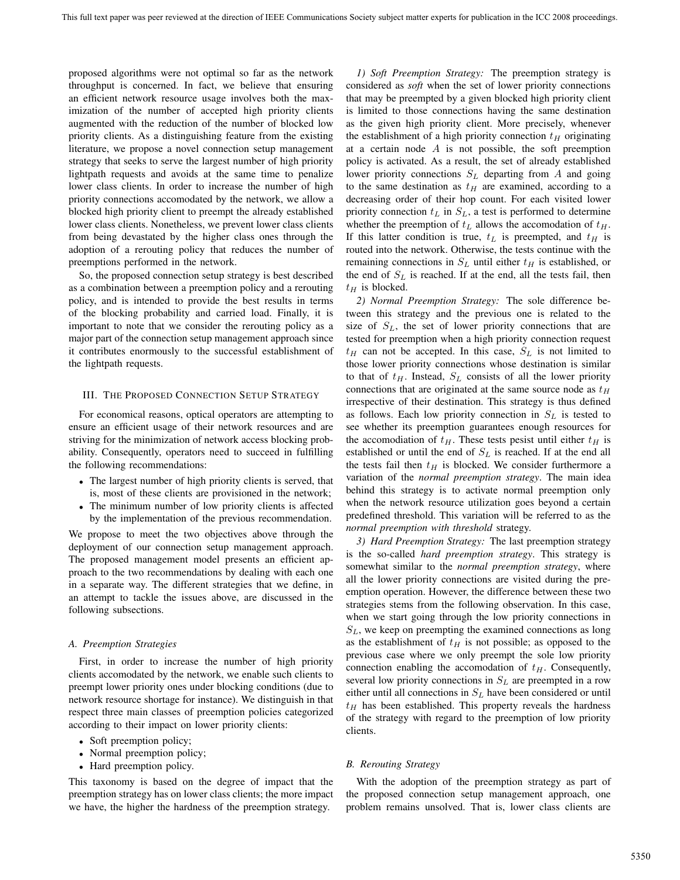proposed algorithms were not optimal so far as the network throughput is concerned. In fact, we believe that ensuring an efficient network resource usage involves both the maximization of the number of accepted high priority clients augmented with the reduction of the number of blocked low priority clients. As a distinguishing feature from the existing literature, we propose a novel connection setup management strategy that seeks to serve the largest number of high priority lightpath requests and avoids at the same time to penalize lower class clients. In order to increase the number of high priority connections accomodated by the network, we allow a blocked high priority client to preempt the already established lower class clients. Nonetheless, we prevent lower class clients from being devastated by the higher class ones through the adoption of a rerouting policy that reduces the number of preemptions performed in the network.

So, the proposed connection setup strategy is best described as a combination between a preemption policy and a rerouting policy, and is intended to provide the best results in terms of the blocking probability and carried load. Finally, it is important to note that we consider the rerouting policy as a major part of the connection setup management approach since it contributes enormously to the successful establishment of the lightpath requests.

### III. THE PROPOSED CONNECTION SETUP STRATEGY

For economical reasons, optical operators are attempting to ensure an efficient usage of their network resources and are striving for the minimization of network access blocking probability. Consequently, operators need to succeed in fulfilling the following recommendations:

- *•* The largest number of high priority clients is served, that is, most of these clients are provisioned in the network;
- *•* The minimum number of low priority clients is affected by the implementation of the previous recommendation.

We propose to meet the two objectives above through the deployment of our connection setup management approach. The proposed management model presents an efficient approach to the two recommendations by dealing with each one in a separate way. The different strategies that we define, in an attempt to tackle the issues above, are discussed in the following subsections.

#### *A. Preemption Strategies*

First, in order to increase the number of high priority clients accomodated by the network, we enable such clients to preempt lower priority ones under blocking conditions (due to network resource shortage for instance). We distinguish in that respect three main classes of preemption policies categorized according to their impact on lower priority clients:

- Soft preemption policy;
- Normal preemption policy;
- *•* Hard preemption policy.

This taxonomy is based on the degree of impact that the preemption strategy has on lower class clients; the more impact we have, the higher the hardness of the preemption strategy.

*1) Soft Preemption Strategy:* The preemption strategy is considered as *soft* when the set of lower priority connections that may be preempted by a given blocked high priority client is limited to those connections having the same destination as the given high priority client. More precisely, whenever the establishment of a high priority connection  $t_H$  originating at a certain node *A* is not possible, the soft preemption policy is activated. As a result, the set of already established lower priority connections *S<sup>L</sup>* departing from *A* and going to the same destination as  $t_H$  are examined, according to a decreasing order of their hop count. For each visited lower priority connection  $t_L$  in  $S_L$ , a test is performed to determine whether the preemption of  $t_L$  allows the accomodation of  $t_H$ . If this latter condition is true,  $t_L$  is preempted, and  $t_H$  is routed into the network. Otherwise, the tests continue with the remaining connections in *S<sup>L</sup>* until either *t<sup>H</sup>* is established, or the end of *S<sup>L</sup>* is reached. If at the end, all the tests fail, then  $t_H$  is blocked.

*2) Normal Preemption Strategy:* The sole difference between this strategy and the previous one is related to the size of  $S_L$ , the set of lower priority connections that are tested for preemption when a high priority connection request  $t$ <sup>*H*</sup> can not be accepted. In this case,  $S$ <sup>*L*</sup> is not limited to those lower priority connections whose destination is similar to that of  $t_H$ . Instead,  $S_L$  consists of all the lower priority connections that are originated at the same source node as *t<sup>H</sup>* irrespective of their destination. This strategy is thus defined as follows. Each low priority connection in *S<sup>L</sup>* is tested to see whether its preemption guarantees enough resources for the accomodiation of  $t_H$ . These tests pesist until either  $t_H$  is established or until the end of *S<sup>L</sup>* is reached. If at the end all the tests fail then  $t_H$  is blocked. We consider furthermore a variation of the *normal preemption strategy*. The main idea behind this strategy is to activate normal preemption only when the network resource utilization goes beyond a certain predefined threshold. This variation will be referred to as the *normal preemption with threshold* strategy.

*3) Hard Preemption Strategy:* The last preemption strategy is the so-called *hard preemption strategy*. This strategy is somewhat similar to the *normal preemption strategy*, where all the lower priority connections are visited during the preemption operation. However, the difference between these two strategies stems from the following observation. In this case, when we start going through the low priority connections in *SL*, we keep on preempting the examined connections as long as the establishment of  $t_H$  is not possible; as opposed to the previous case where we only preempt the sole low priority connection enabling the accomodation of  $t<sub>H</sub>$ . Consequently, several low priority connections in *S<sup>L</sup>* are preempted in a row either until all connections in *S<sup>L</sup>* have been considered or until  $t$ *H* has been established. This property reveals the hardness of the strategy with regard to the preemption of low priority clients.

## *B. Rerouting Strategy*

With the adoption of the preemption strategy as part of the proposed connection setup management approach, one problem remains unsolved. That is, lower class clients are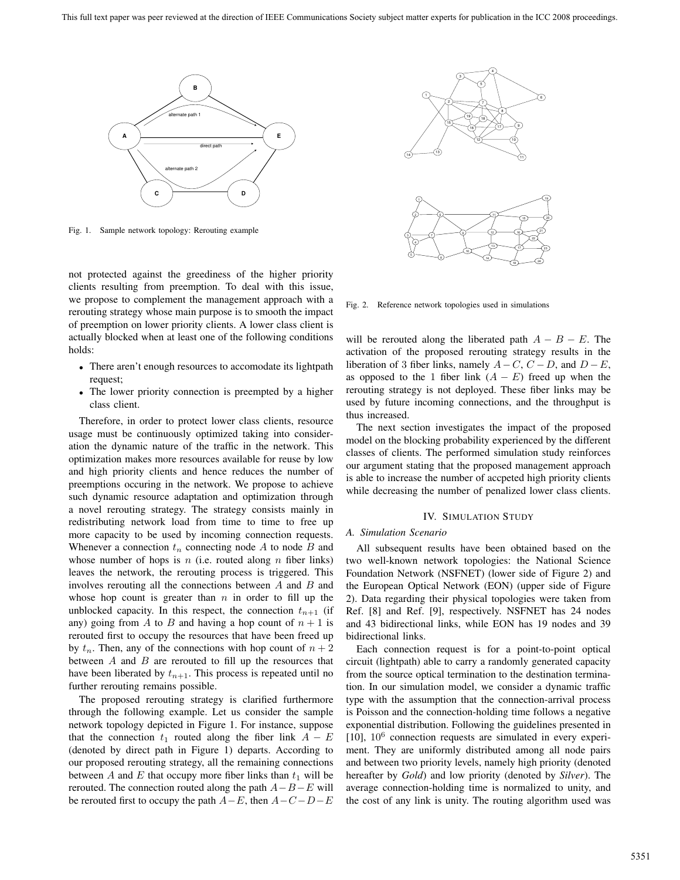

Fig. 1. Sample network topology: Rerouting example

not protected against the greediness of the higher priority clients resulting from preemption. To deal with this issue, we propose to complement the management approach with a rerouting strategy whose main purpose is to smooth the impact of preemption on lower priority clients. A lower class client is actually blocked when at least one of the following conditions holds:

- *•* There aren't enough resources to accomodate its lightpath request;
- *•* The lower priority connection is preempted by a higher class client.

Therefore, in order to protect lower class clients, resource usage must be continuously optimized taking into consideration the dynamic nature of the traffic in the network. This optimization makes more resources available for reuse by low and high priority clients and hence reduces the number of preemptions occuring in the network. We propose to achieve such dynamic resource adaptation and optimization through a novel rerouting strategy. The strategy consists mainly in redistributing network load from time to time to free up more capacity to be used by incoming connection requests. Whenever a connection  $t_n$  connecting node  $A$  to node  $B$  and whose number of hops is *n* (i.e. routed along *n* fiber links) leaves the network, the rerouting process is triggered. This involves rerouting all the connections between *A* and *B* and whose hop count is greater than *n* in order to fill up the unblocked capacity. In this respect, the connection  $t_{n+1}$  (if any) going from *A* to *B* and having a hop count of  $n + 1$  is rerouted first to occupy the resources that have been freed up by  $t_n$ . Then, any of the connections with hop count of  $n+2$ between *A* and *B* are rerouted to fill up the resources that have been liberated by  $t_{n+1}$ . This process is repeated until no further rerouting remains possible.

The proposed rerouting strategy is clarified furthermore through the following example. Let us consider the sample network topology depicted in Figure 1. For instance, suppose that the connection  $t_1$  routed along the fiber link  $A - E$ (denoted by direct path in Figure 1) departs. According to our proposed rerouting strategy, all the remaining connections between  $A$  and  $E$  that occupy more fiber links than  $t_1$  will be rerouted. The connection routed along the path *A−B−E* will be rerouted first to occupy the path *A−E*, then *A−C−D−E*



Fig. 2. Reference network topologies used in simulations

will be rerouted along the liberated path  $A - B - E$ . The activation of the proposed rerouting strategy results in the liberation of 3 fiber links, namely *A−C*, *C − D*, and *D −E*, as opposed to the 1 fiber link  $(A - E)$  freed up when the rerouting strategy is not deployed. These fiber links may be used by future incoming connections, and the throughput is thus increased.

The next section investigates the impact of the proposed model on the blocking probability experienced by the different classes of clients. The performed simulation study reinforces our argument stating that the proposed management approach is able to increase the number of accpeted high priority clients while decreasing the number of penalized lower class clients.

# IV. SIMULATION STUDY

# *A. Simulation Scenario*

All subsequent results have been obtained based on the two well-known network topologies: the National Science Foundation Network (NSFNET) (lower side of Figure 2) and the European Optical Network (EON) (upper side of Figure 2). Data regarding their physical topologies were taken from Ref. [8] and Ref. [9], respectively. NSFNET has 24 nodes and 43 bidirectional links, while EON has 19 nodes and 39 bidirectional links.

Each connection request is for a point-to-point optical circuit (lightpath) able to carry a randomly generated capacity from the source optical termination to the destination termination. In our simulation model, we consider a dynamic traffic type with the assumption that the connection-arrival process is Poisson and the connection-holding time follows a negative exponential distribution. Following the guidelines presented in [10],  $10^6$  connection requests are simulated in every experiment. They are uniformly distributed among all node pairs and between two priority levels, namely high priority (denoted hereafter by *Gold*) and low priority (denoted by *Silver*). The average connection-holding time is normalized to unity, and the cost of any link is unity. The routing algorithm used was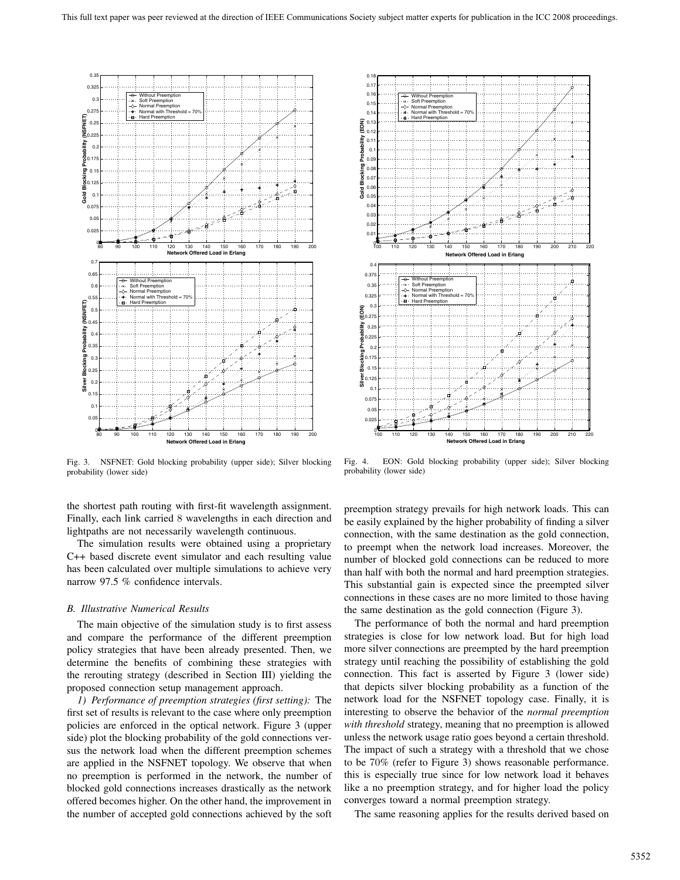

Fig. 3. NSFNET: Gold blocking probability (upper side); Silver blocking probability (lower side)

the shortest path routing with first-fit wavelength assignment. Finally, each link carried 8 wavelengths in each direction and lightpaths are not necessarily wavelength continuous.

The simulation results were obtained using a proprietary C++ based discrete event simulator and each resulting value has been calculated over multiple simulations to achieve very narrow 97.5 % confidence intervals.

### *B. Illustrative Numerical Results*

The main objective of the simulation study is to first assess and compare the performance of the different preemption policy strategies that have been already presented. Then, we determine the benefits of combining these strategies with the rerouting strategy (described in Section III) yielding the proposed connection setup management approach.

*1) Performance of preemption strategies (first setting):* The first set of results is relevant to the case where only preemption policies are enforced in the optical network. Figure 3 (upper side) plot the blocking probability of the gold connections versus the network load when the different preemption schemes are applied in the NSFNET topology. We observe that when no preemption is performed in the network, the number of blocked gold connections increases drastically as the network offered becomes higher. On the other hand, the improvement in the number of accepted gold connections achieved by the soft



Fig. 4. EON: Gold blocking probability (upper side); Silver blocking probability (lower side)

preemption strategy prevails for high network loads. This can be easily explained by the higher probability of finding a silver connection, with the same destination as the gold connection, to preempt when the network load increases. Moreover, the number of blocked gold connections can be reduced to more than half with both the normal and hard preemption strategies. This substantial gain is expected since the preempted silver connections in these cases are no more limited to those having the same destination as the gold connection (Figure 3).

The performance of both the normal and hard preemption strategies is close for low network load. But for high load more silver connections are preempted by the hard preemption strategy until reaching the possibility of establishing the gold connection. This fact is asserted by Figure 3 (lower side) that depicts silver blocking probability as a function of the network load for the NSFNET topology case. Finally, it is interesting to observe the behavior of the *normal preemption with threshold* strategy, meaning that no preemption is allowed unless the network usage ratio goes beyond a certain threshold. The impact of such a strategy with a threshold that we chose to be 70% (refer to Figure 3) shows reasonable performance. this is especially true since for low network load it behaves like a no preemption strategy, and for higher load the policy converges toward a normal preemption strategy.

The same reasoning applies for the results derived based on